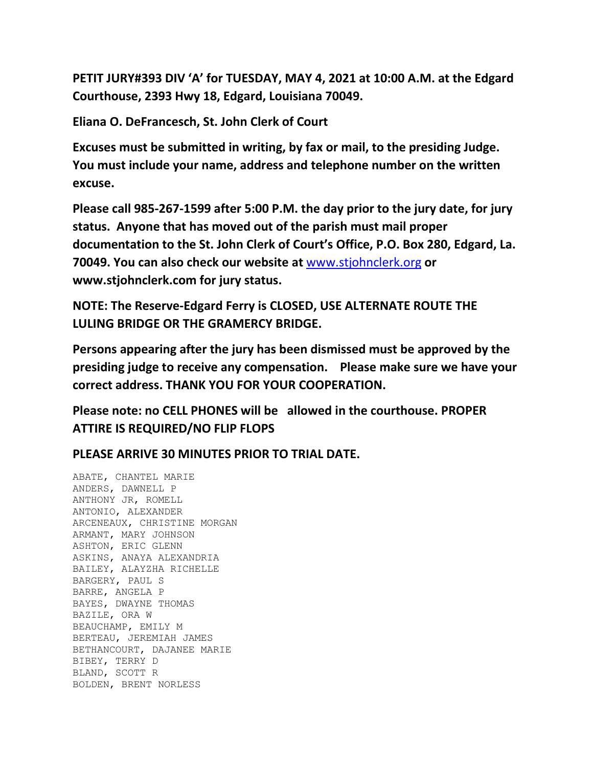**PETIT JURY#393 DIV 'A' for TUESDAY, MAY 4, 2021 at 10:00 A.M. at the Edgard Courthouse, 2393 Hwy 18, Edgard, Louisiana 70049.**

**Eliana O. DeFrancesch, St. John Clerk of Court**

**Excuses must be submitted in writing, by fax or mail, to the presiding Judge. You must include your name, address and telephone number on the written excuse.**

**Please call 985-267-1599 after 5:00 P.M. the day prior to the jury date, for jury status. Anyone that has moved out of the parish must mail proper documentation to the St. John Clerk of Court's Office, P.O. Box 280, Edgard, La. 70049. You can also check our website at** [www.stjohnclerk.org](http://www.stjohnclerk.org/) **or www.stjohnclerk.com for jury status.**

**NOTE: The Reserve-Edgard Ferry is CLOSED, USE ALTERNATE ROUTE THE LULING BRIDGE OR THE GRAMERCY BRIDGE.**

**Persons appearing after the jury has been dismissed must be approved by the presiding judge to receive any compensation. Please make sure we have your correct address. THANK YOU FOR YOUR COOPERATION.**

**Please note: no CELL PHONES will be allowed in the courthouse. PROPER ATTIRE IS REQUIRED/NO FLIP FLOPS**

**PLEASE ARRIVE 30 MINUTES PRIOR TO TRIAL DATE.**

ABATE, CHANTEL MARIE ANDERS, DAWNELL P ANTHONY JR, ROMELL ANTONIO, ALEXANDER ARCENEAUX, CHRISTINE MORGAN ARMANT, MARY JOHNSON ASHTON, ERIC GLENN ASKINS, ANAYA ALEXANDRIA BAILEY, ALAYZHA RICHELLE BARGERY, PAUL S BARRE, ANGELA P BAYES, DWAYNE THOMAS BAZILE, ORA W BEAUCHAMP, EMILY M BERTEAU, JEREMIAH JAMES BETHANCOURT, DAJANEE MARIE BIBEY, TERRY D BLAND, SCOTT R BOLDEN, BRENT NORLESS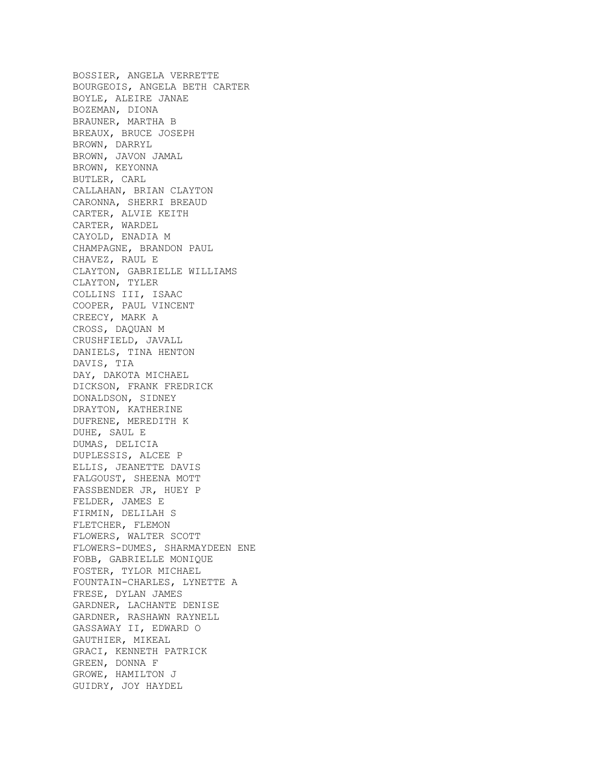BOSSIER, ANGELA VERRETTE BOURGEOIS, ANGELA BETH CARTER BOYLE, ALEIRE JANAE BOZEMAN, DIONA BRAUNER, MARTHA B BREAUX, BRUCE JOSEPH BROWN, DARRYL BROWN, JAVON JAMAL BROWN, KEYONNA BUTLER, CARL CALLAHAN, BRIAN CLAYTON CARONNA, SHERRI BREAUD CARTER, ALVIE KEITH CARTER, WARDEL CAYOLD, ENADIA M CHAMPAGNE, BRANDON PAUL CHAVEZ, RAUL E CLAYTON, GABRIELLE WILLIAMS CLAYTON, TYLER COLLINS III, ISAAC COOPER, PAUL VINCENT CREECY, MARK A CROSS, DAQUAN M CRUSHFIELD, JAVALL DANIELS, TINA HENTON DAVIS, TIA DAY, DAKOTA MICHAEL DICKSON, FRANK FREDRICK DONALDSON, SIDNEY DRAYTON, KATHERINE DUFRENE, MEREDITH K DUHE, SAUL E DUMAS, DELICIA DUPLESSIS, ALCEE P ELLIS, JEANETTE DAVIS FALGOUST, SHEENA MOTT FASSBENDER JR, HUEY P FELDER, JAMES E FIRMIN, DELILAH S FLETCHER, FLEMON FLOWERS, WALTER SCOTT FLOWERS-DUMES, SHARMAYDEEN ENE FOBB, GABRIELLE MONIQUE FOSTER, TYLOR MICHAEL FOUNTAIN-CHARLES, LYNETTE A FRESE, DYLAN JAMES GARDNER, LACHANTE DENISE GARDNER, RASHAWN RAYNELL GASSAWAY II, EDWARD O GAUTHIER, MIKEAL GRACI, KENNETH PATRICK GREEN, DONNA F GROWE, HAMILTON J GUIDRY, JOY HAYDEL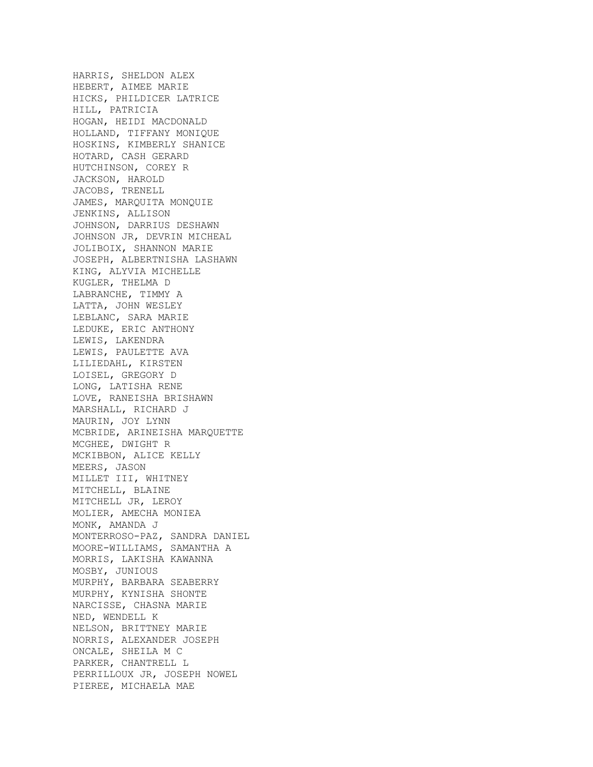HARRIS, SHELDON ALEX HEBERT, AIMEE MARIE HICKS, PHILDICER LATRICE HILL, PATRICIA HOGAN, HEIDI MACDONALD HOLLAND, TIFFANY MONIQUE HOSKINS, KIMBERLY SHANICE HOTARD, CASH GERARD HUTCHINSON, COREY R JACKSON, HAROLD JACOBS, TRENELL JAMES, MARQUITA MONQUIE JENKINS, ALLISON JOHNSON, DARRIUS DESHAWN JOHNSON JR, DEVRIN MICHEAL JOLIBOIX, SHANNON MARIE JOSEPH, ALBERTNISHA LASHAWN KING, ALYVIA MICHELLE KUGLER, THELMA D LABRANCHE, TIMMY A LATTA, JOHN WESLEY LEBLANC, SARA MARIE LEDUKE, ERIC ANTHONY LEWIS, LAKENDRA LEWIS, PAULETTE AVA LILIEDAHL, KIRSTEN LOISEL, GREGORY D LONG, LATISHA RENE LOVE, RANEISHA BRISHAWN MARSHALL, RICHARD J MAURIN, JOY LYNN MCBRIDE, ARINEISHA MARQUETTE MCGHEE, DWIGHT R MCKIBBON, ALICE KELLY MEERS, JASON MILLET III, WHITNEY MITCHELL, BLAINE MITCHELL JR, LEROY MOLIER, AMECHA MONIEA MONK, AMANDA J MONTERROSO-PAZ, SANDRA DANIEL MOORE-WILLIAMS, SAMANTHA A MORRIS, LAKISHA KAWANNA MOSBY, JUNIOUS MURPHY, BARBARA SEABERRY MURPHY, KYNISHA SHONTE NARCISSE, CHASNA MARIE NED, WENDELL K NELSON, BRITTNEY MARIE NORRIS, ALEXANDER JOSEPH ONCALE, SHEILA M C PARKER, CHANTRELL L PERRILLOUX JR, JOSEPH NOWEL PIEREE, MICHAELA MAE